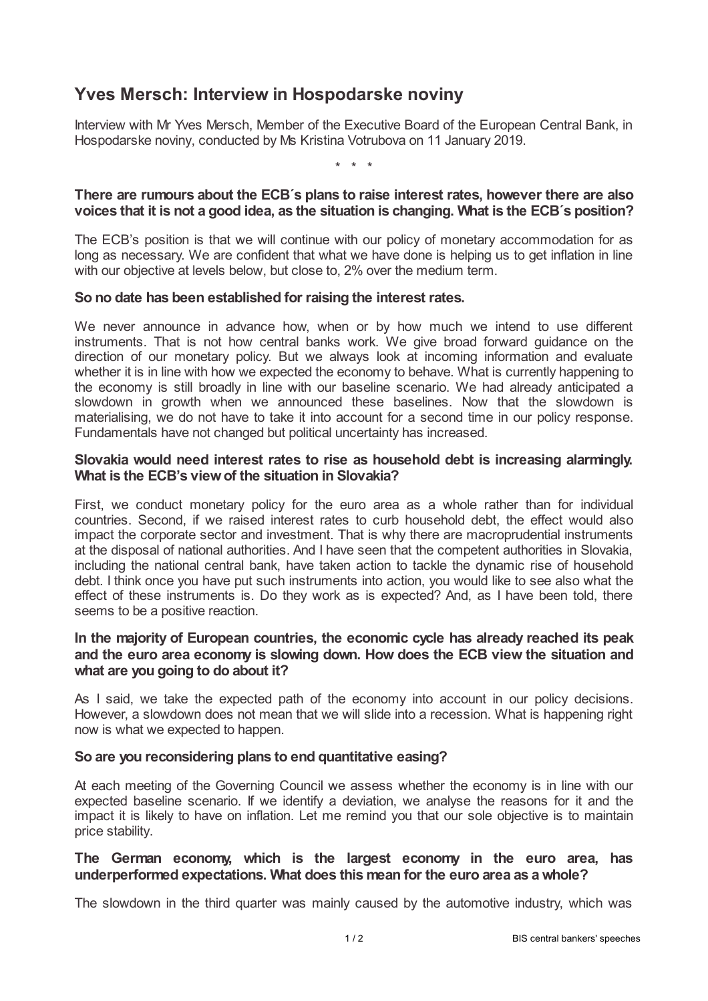# **Yves Mersch: Interview in Hospodarske noviny**

Interview with Mr Yves Mersch, Member of the Executive Board of the European Central Bank, in Hospodarske noviny, conducted by Ms Kristina Votrubova on 11 January 2019.

\* \* \*

# **There are rumours about the ECB´s plans to raise interest rates, however there are also voices that it is not a good idea, as the situation is changing. What is the ECB´s position?**

The ECB's position is that we will continue with our policy of monetary accommodation for as long as necessary. We are confident that what we have done is helping us to get inflation in line with our objective at levels below, but close to, 2% over the medium term.

# **So no date has been established for raising the interest rates.**

We never announce in advance how, when or by how much we intend to use different instruments. That is not how central banks work. We give broad forward guidance on the direction of our monetary policy. But we always look at incoming information and evaluate whether it is in line with how we expected the economy to behave. What is currently happening to the economy is still broadly in line with our baseline scenario. We had already anticipated a slowdown in growth when we announced these baselines. Now that the slowdown is materialising, we do not have to take it into account for a second time in our policy response. Fundamentals have not changed but political uncertainty has increased.

#### **Slovakia would need interest rates to rise as household debt is increasing alarmingly. What is the ECB's viewof the situation in Slovakia?**

First, we conduct monetary policy for the euro area as a whole rather than for individual countries. Second, if we raised interest rates to curb household debt, the effect would also impact the corporate sector and investment. That is why there are macroprudential instruments at the disposal of national authorities. And I have seen that the competent authorities in Slovakia, including the national central bank, have taken action to tackle the dynamic rise of household debt. I think once you have put such instruments into action, you would like to see also what the effect of these instruments is. Do they work as is expected? And, as I have been told, there seems to be a positive reaction.

### **In the majority of European countries, the economic cycle has already reached its peak and the euro area economy is slowing down. How does the ECB view the situation and what are you going to do about it?**

As I said, we take the expected path of the economy into account in our policy decisions. However, a slowdown does not mean that we will slide into a recession. What is happening right now is what we expected to happen.

# **So are you reconsidering plans to end quantitative easing?**

At each meeting of the Governing Council we assess whether the economy is in line with our expected baseline scenario. If we identify a deviation, we analyse the reasons for it and the impact it is likely to have on inflation. Let me remind you that our sole objective is to maintain price stability.

#### **The German economy, which is the largest economy in the euro area, has underperformed expectations. What does this mean for the euro area as awhole?**

The slowdown in the third quarter was mainly caused by the automotive industry, which was